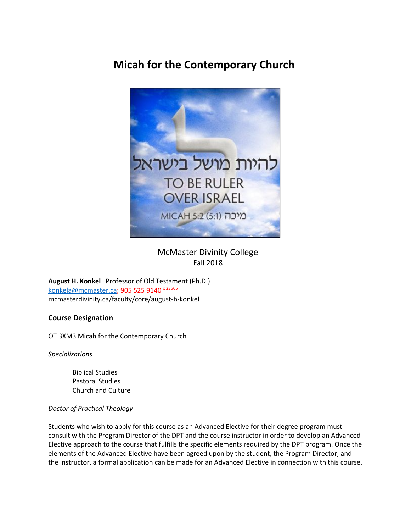# **Micah for the Contemporary Church**



 McMaster Divinity College Fall 2018

**August H. Konkel** Professor of Old Testament (Ph.D.) [konkela@mcmaster.ca;](mailto:konkela@mcmaster.ca) 905 525 9140 x 23505 mcmasterdivinity.ca/faculty/core/august-h-konkel

# **Course Designation**

OT 3XM3 Micah for the Contemporary Church

*Specializations*

Biblical Studies Pastoral Studies Church and Culture

### *Doctor of Practical Theology*

Students who wish to apply for this course as an Advanced Elective for their degree program must consult with the Program Director of the DPT and the course instructor in order to develop an Advanced Elective approach to the course that fulfills the specific elements required by the DPT program. Once the elements of the Advanced Elective have been agreed upon by the student, the Program Director, and the instructor, a formal application can be made for an Advanced Elective in connection with this course.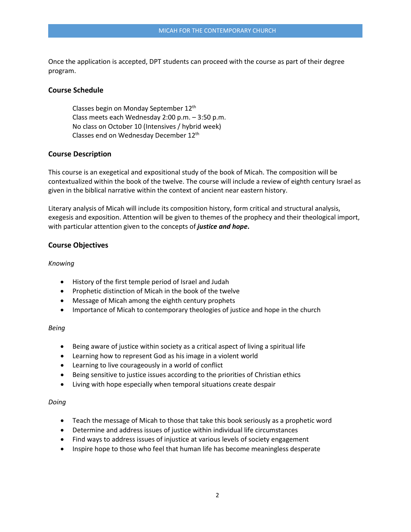Once the application is accepted, DPT students can proceed with the course as part of their degree program.

### **Course Schedule**

Classes begin on Monday September 12<sup>th</sup> Class meets each Wednesday 2:00 p.m. – 3:50 p.m. No class on October 10 (Intensives / hybrid week) Classes end on Wednesday December 12th

### **Course Description**

This course is an exegetical and expositional study of the book of Micah. The composition will be contextualized within the book of the twelve. The course will include a review of eighth century Israel as given in the biblical narrative within the context of ancient near eastern history.

Literary analysis of Micah will include its composition history, form critical and structural analysis, exegesis and exposition. Attention will be given to themes of the prophecy and their theological import, with particular attention given to the concepts of *justice and hope***.**

### **Course Objectives**

### *Knowing*

- History of the first temple period of Israel and Judah
- Prophetic distinction of Micah in the book of the twelve
- Message of Micah among the eighth century prophets
- Importance of Micah to contemporary theologies of justice and hope in the church

### *Being*

- Being aware of justice within society as a critical aspect of living a spiritual life
- Learning how to represent God as his image in a violent world
- Learning to live courageously in a world of conflict
- Being sensitive to justice issues according to the priorities of Christian ethics
- Living with hope especially when temporal situations create despair

### *Doing*

- Teach the message of Micah to those that take this book seriously as a prophetic word
- Determine and address issues of justice within individual life circumstances
- Find ways to address issues of injustice at various levels of society engagement
- Inspire hope to those who feel that human life has become meaningless desperate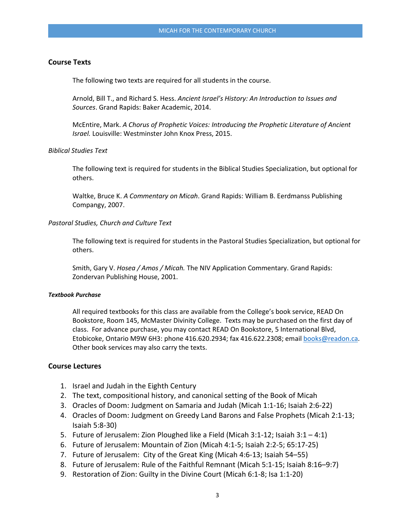### **Course Texts**

The following two texts are required for all students in the course.

Arnold, Bill T., and Richard S. Hess. *Ancient Israel's History: An Introduction to Issues and Sources*. Grand Rapids: Baker Academic, 2014.

McEntire, Mark. *A Chorus of Prophetic Voices: Introducing the Prophetic Literature of Ancient Israel.* Louisville: Westminster John Knox Press, 2015.

### *Biblical Studies Text*

The following text is required for students in the Biblical Studies Specialization, but optional for others.

Waltke, Bruce K. *A Commentary on Micah*. Grand Rapids: William B. Eerdmanss Publishing Compangy, 2007.

### *Pastoral Studies, Church and Culture Text*

The following text is required for students in the Pastoral Studies Specialization, but optional for others.

Smith, Gary V. *Hosea / Amos / Micah.* The NIV Application Commentary. Grand Rapids: Zondervan Publishing House, 2001.

#### *Textbook Purchase*

All required textbooks for this class are available from the College's book service, READ On Bookstore, Room 145, McMaster Divinity College. Texts may be purchased on the first day of class. For advance purchase, you may contact READ On Bookstore, 5 International Blvd, Etobicoke, Ontario M9W 6H3: phone 416.620.2934; fax 416.622.2308; email [books@readon.ca.](mailto:books@readon.ca) Other book services may also carry the texts.

### **Course Lectures**

- 1. Israel and Judah in the Eighth Century
- 2. The text, compositional history, and canonical setting of the Book of Micah
- 3. Oracles of Doom: Judgment on Samaria and Judah (Micah 1:1-16; Isaiah 2:6-22)
- 4. Oracles of Doom: Judgment on Greedy Land Barons and False Prophets (Micah 2:1-13; Isaiah 5:8-30)
- 5. Future of Jerusalem: Zion Ploughed like a Field (Micah 3:1-12; Isaiah 3:1 4:1)
- 6. Future of Jerusalem: Mountain of Zion (Micah 4:1-5; Isaiah 2:2-5; 65:17-25)
- 7. Future of Jerusalem: City of the Great King (Micah 4:6-13; Isaiah 54–55)
- 8. Future of Jerusalem: Rule of the Faithful Remnant (Micah 5:1-15; Isaiah 8:16–9:7)
- 9. Restoration of Zion: Guilty in the Divine Court (Micah 6:1-8; Isa 1:1-20)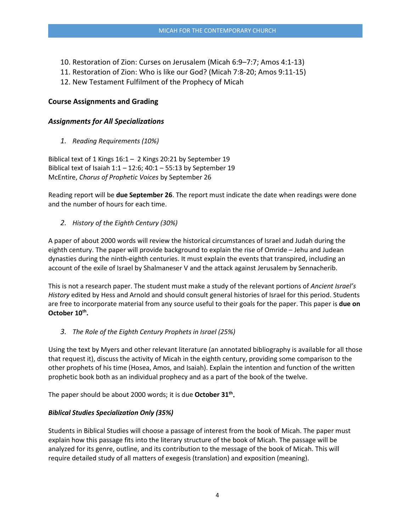- 10. Restoration of Zion: Curses on Jerusalem (Micah 6:9–7:7; Amos 4:1-13)
- 11. Restoration of Zion: Who is like our God? (Micah 7:8-20; Amos 9:11-15)
- 12. New Testament Fulfilment of the Prophecy of Micah

# **Course Assignments and Grading**

## *Assignments for All Specializations*

*1. Reading Requirements (10%)*

Biblical text of 1 Kings 16:1 – 2 Kings 20:21 by September 19 Biblical text of Isaiah 1:1 – 12:6; 40:1 – 55:13 by September 19 McEntire, *Chorus of Prophetic Voices* by September 26

Reading report will be **due September 26**. The report must indicate the date when readings were done and the number of hours for each time.

*2. History of the Eighth Century (30%)*

A paper of about 2000 words will review the historical circumstances of Israel and Judah during the eighth century. The paper will provide background to explain the rise of Omride – Jehu and Judean dynasties during the ninth-eighth centuries. It must explain the events that transpired, including an account of the exile of Israel by Shalmaneser V and the attack against Jerusalem by Sennacherib.

This is not a research paper. The student must make a study of the relevant portions of *Ancient Israel's History* edited by Hess and Arnold and should consult general histories of Israel for this period. Students are free to incorporate material from any source useful to their goals for the paper. This paper is **due on**  October 10<sup>th</sup>.

*3. The Role of the Eighth Century Prophets in Israel (25%)*

Using the text by Myers and other relevant literature (an annotated bibliography is available for all those that request it), discuss the activity of Micah in the eighth century, providing some comparison to the other prophets of his time (Hosea, Amos, and Isaiah). Explain the intention and function of the written prophetic book both as an individual prophecy and as a part of the book of the twelve.

The paper should be about 2000 words; it is due **October 31th.** 

# *Biblical Studies Specialization Only (35%)*

Students in Biblical Studies will choose a passage of interest from the book of Micah. The paper must explain how this passage fits into the literary structure of the book of Micah. The passage will be analyzed for its genre, outline, and its contribution to the message of the book of Micah. This will require detailed study of all matters of exegesis (translation) and exposition (meaning).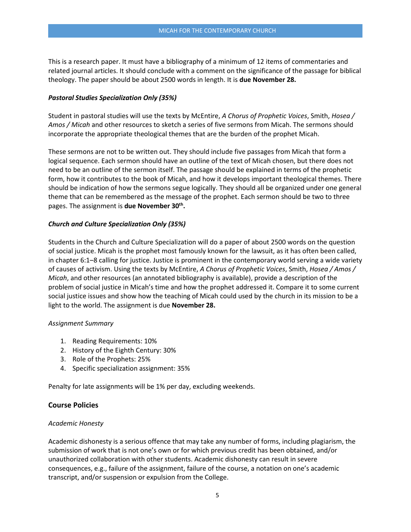This is a research paper. It must have a bibliography of a minimum of 12 items of commentaries and related journal articles. It should conclude with a comment on the significance of the passage for biblical theology. The paper should be about 2500 words in length. It is **due November 28.**

### *Pastoral Studies Specialization Only (35%)*

Student in pastoral studies will use the texts by McEntire, *A Chorus of Prophetic Voices*, Smith, *Hosea / Amos / Micah* and other resources to sketch a series of five sermons from Micah. The sermons should incorporate the appropriate theological themes that are the burden of the prophet Micah.

These sermons are not to be written out. They should include five passages from Micah that form a logical sequence. Each sermon should have an outline of the text of Micah chosen, but there does not need to be an outline of the sermon itself. The passage should be explained in terms of the prophetic form, how it contributes to the book of Micah, and how it develops important theological themes. There should be indication of how the sermons segue logically. They should all be organized under one general theme that can be remembered as the message of the prophet. Each sermon should be two to three pages. The assignment is **due November 30th.**

### *Church and Culture Specialization Only (35%)*

Students in the Church and Culture Specialization will do a paper of about 2500 words on the question of social justice. Micah is the prophet most famously known for the lawsuit, as it has often been called, in chapter 6:1–8 calling for justice. Justice is prominent in the contemporary world serving a wide variety of causes of activism. Using the texts by McEntire, *A Chorus of Prophetic Voices*, Smith, *Hosea / Amos / Micah*, and other resources (an annotated bibliography is available), provide a description of the problem of social justice in Micah's time and how the prophet addressed it. Compare it to some current social justice issues and show how the teaching of Micah could used by the church in its mission to be a light to the world. The assignment is due **November 28.**

### *Assignment Summary*

- 1. Reading Requirements: 10%
- 2. History of the Eighth Century: 30%
- 3. Role of the Prophets: 25%
- 4. Specific specialization assignment: 35%

Penalty for late assignments will be 1% per day, excluding weekends.

### **Course Policies**

### *Academic Honesty*

Academic dishonesty is a serious offence that may take any number of forms, including plagiarism, the submission of work that is not one's own or for which previous credit has been obtained, and/or unauthorized collaboration with other students. Academic dishonesty can result in severe consequences, e.g., failure of the assignment, failure of the course, a notation on one's academic transcript, and/or suspension or expulsion from the College.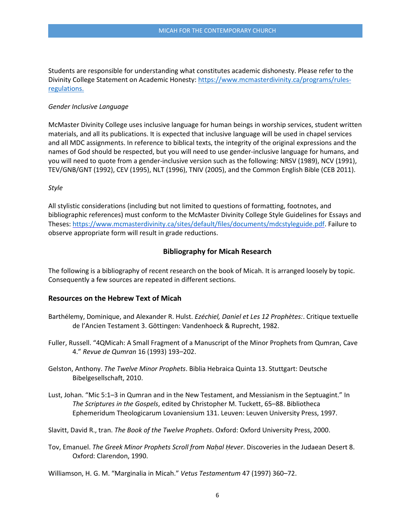Students are responsible for understanding what constitutes academic dishonesty. Please refer to the Divinity College Statement on Academic Honesty: [https://www.mcmasterdivinity.ca/programs/rules](https://www.mcmasterdivinity.ca/programs/rules-regulations)[regulations.](https://www.mcmasterdivinity.ca/programs/rules-regulations)

### *Gender Inclusive Language*

McMaster Divinity College uses inclusive language for human beings in worship services, student written materials, and all its publications. It is expected that inclusive language will be used in chapel services and all MDC assignments. In reference to biblical texts, the integrity of the original expressions and the names of God should be respected, but you will need to use gender-inclusive language for humans, and you will need to quote from a gender-inclusive version such as the following: NRSV (1989), NCV (1991), TEV/GNB/GNT (1992), CEV (1995), NLT (1996), TNIV (2005), and the Common English Bible (CEB 2011).

### *Style*

All stylistic considerations (including but not limited to questions of formatting, footnotes, and bibliographic references) must conform to the McMaster Divinity College Style Guidelines for Essays and Theses: [https://www.mcmasterdivinity.ca/sites/default/files/documents/mdcstyleguide.pdf.](https://www.mcmasterdivinity.ca/sites/default/files/documents/mdcstyleguide.pdf) Failure to observe appropriate form will result in grade reductions.

### **Bibliography for Micah Research**

The following is a bibliography of recent research on the book of Micah. It is arranged loosely by topic. Consequently a few sources are repeated in different sections.

### **Resources on the Hebrew Text of Micah**

- Barthélemy, Dominique, and Alexander R. Hulst. *Ezéchiel, Daniel et Les 12 Prophètes:*. Critique textuelle de l'Ancien Testament 3. Göttingen: Vandenhoeck & Ruprecht, 1982.
- Fuller, Russell. "4QMicah: A Small Fragment of a Manuscript of the Minor Prophets from Qumran, Cave 4." *Revue de Qumran* 16 (1993) 193–202.
- Gelston, Anthony. *The Twelve Minor Prophets*. Biblia Hebraica Quinta 13. Stuttgart: Deutsche Bibelgesellschaft, 2010.
- Lust, Johan. "Mic 5:1–3 in Qumran and in the New Testament, and Messianism in the Septuagint." In *The Scriptures in the Gospels*, edited by Christopher M. Tuckett, 65–88. Bibliotheca Ephemeridum Theologicarum Lovaniensium 131. Leuven: Leuven University Press, 1997.
- Slavitt, David R., tran. *The Book of the Twelve Prophets*. Oxford: Oxford University Press, 2000.
- Tov, Emanuel. *The Greek Minor Prophets Scroll from Naḥal Ḥever*. Discoveries in the Judaean Desert 8. Oxford: Clarendon, 1990.

Williamson, H. G. M. "Marginalia in Micah." *Vetus Testamentum* 47 (1997) 360–72.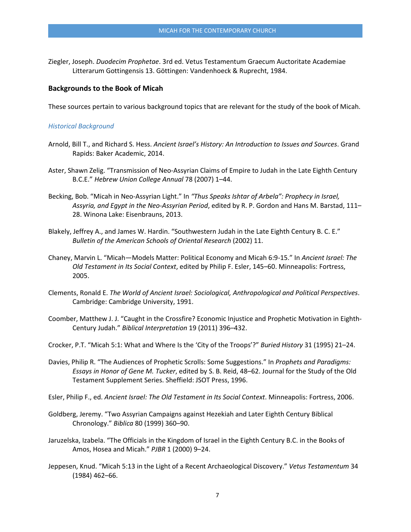Ziegler, Joseph. *Duodecim Prophetae*. 3rd ed. Vetus Testamentum Graecum Auctoritate Academiae Litterarum Gottingensis 13. Göttingen: Vandenhoeck & Ruprecht, 1984.

#### **Backgrounds to the Book of Micah**

These sources pertain to various background topics that are relevant for the study of the book of Micah.

#### *Historical Background*

- Arnold, Bill T., and Richard S. Hess. *Ancient Israel's History: An Introduction to Issues and Sources*. Grand Rapids: Baker Academic, 2014.
- Aster, Shawn Zelig. "Transmission of Neo-Assyrian Claims of Empire to Judah in the Late Eighth Century B.C.E." *Hebrew Union College Annual* 78 (2007) 1–44.
- Becking, Bob. "Micah in Neo-Assyrian Light." In *"Thus Speaks Ishtar of Arbela": Prophecy in Israel, Assyria, and Egypt in the Neo-Assyrian Period*, edited by R. P. Gordon and Hans M. Barstad, 111– 28. Winona Lake: Eisenbrauns, 2013.
- Blakely, Jeffrey A., and James W. Hardin. "Southwestern Judah in the Late Eighth Century B. C. E." *Bulletin of the American Schools of Oriental Research* (2002) 11.
- Chaney, Marvin L. "Micah—Models Matter: Political Economy and Micah 6:9-15." In *Ancient Israel: The Old Testament in Its Social Context*, edited by Philip F. Esler, 145–60. Minneapolis: Fortress, 2005.
- Clements, Ronald E. *The World of Ancient Israel: Sociological, Anthropological and Political Perspectives*. Cambridge: Cambridge University, 1991.
- Coomber, Matthew J. J. "Caught in the Crossfire? Economic Injustice and Prophetic Motivation in Eighth-Century Judah." *Biblical Interpretation* 19 (2011) 396–432.
- Crocker, P.T. "Micah 5:1: What and Where Is the 'City of the Troops'?" *Buried History* 31 (1995) 21–24.
- Davies, Philip R. "The Audiences of Prophetic Scrolls: Some Suggestions." In *Prophets and Paradigms: Essays in Honor of Gene M. Tucker*, edited by S. B. Reid, 48–62. Journal for the Study of the Old Testament Supplement Series. Sheffield: JSOT Press, 1996.

Esler, Philip F., ed. *Ancient Israel: The Old Testament in Its Social Context*. Minneapolis: Fortress, 2006.

- Goldberg, Jeremy. "Two Assyrian Campaigns against Hezekiah and Later Eighth Century Biblical Chronology." *Biblica* 80 (1999) 360–90.
- Jaruzelska, Izabela. "The Officials in the Kingdom of Israel in the Eighth Century B.C. in the Books of Amos, Hosea and Micah." *PJBR* 1 (2000) 9–24.
- Jeppesen, Knud. "Micah 5:13 in the Light of a Recent Archaeological Discovery." *Vetus Testamentum* 34 (1984) 462–66.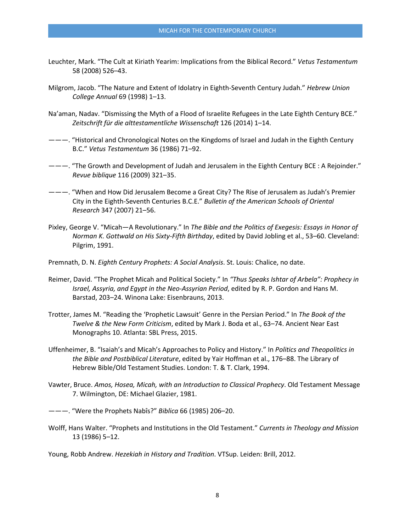- Leuchter, Mark. "The Cult at Kiriath Yearim: Implications from the Biblical Record." *Vetus Testamentum* 58 (2008) 526–43.
- Milgrom, Jacob. "The Nature and Extent of Idolatry in Eighth-Seventh Century Judah." *Hebrew Union College Annual* 69 (1998) 1–13.
- Na'aman, Nadav. "Dismissing the Myth of a Flood of Israelite Refugees in the Late Eighth Century BCE." *Zeitschrift für die alttestamentliche Wissenschaft* 126 (2014) 1–14.
- ———. "Historical and Chronological Notes on the Kingdoms of Israel and Judah in the Eighth Century B.C." *Vetus Testamentum* 36 (1986) 71–92.
- ———. "The Growth and Development of Judah and Jerusalem in the Eighth Century BCE : A Rejoinder." *Revue biblique* 116 (2009) 321–35.
- ———. "When and How Did Jerusalem Become a Great City? The Rise of Jerusalem as Judah's Premier City in the Eighth-Seventh Centuries B.C.E." *Bulletin of the American Schools of Oriental Research* 347 (2007) 21–56.
- Pixley, George V. "Micah—A Revolutionary." In *The Bible and the Politics of Exegesis: Essays in Honor of Norman K. Gottwald on His Sixty-Fifth Birthday*, edited by David Jobling et al., 53–60. Cleveland: Pilgrim, 1991.
- Premnath, D. N. *Eighth Century Prophets: A Social Analysis*. St. Louis: Chalice, no date.
- Reimer, David. "The Prophet Micah and Political Society." In *"Thus Speaks Ishtar of Arbela": Prophecy in Israel, Assyria, and Egypt in the Neo-Assyrian Period*, edited by R. P. Gordon and Hans M. Barstad, 203–24. Winona Lake: Eisenbrauns, 2013.
- Trotter, James M. "Reading the 'Prophetic Lawsuit' Genre in the Persian Period." In *The Book of the Twelve & the New Form Criticism*, edited by Mark J. Boda et al., 63–74. Ancient Near East Monographs 10. Atlanta: SBL Press, 2015.
- Uffenheimer, B. "Isaiah's and Micah's Approaches to Policy and History." In *Politics and Theopolitics in the Bible and Postbiblical Literature*, edited by Yair Hoffman et al., 176–88. The Library of Hebrew Bible/Old Testament Studies. London: T. & T. Clark, 1994.
- Vawter, Bruce. *Amos, Hosea, Micah, with an Introduction to Classical Prophecy*. Old Testament Message 7. Wilmington, DE: Michael Glazier, 1981.
- ———. "Were the Prophets Nabîs?" *Biblica* 66 (1985) 206–20.
- Wolff, Hans Walter. "Prophets and Institutions in the Old Testament." *Currents in Theology and Mission* 13 (1986) 5–12.

Young, Robb Andrew. *Hezekiah in History and Tradition*. VTSup. Leiden: Brill, 2012.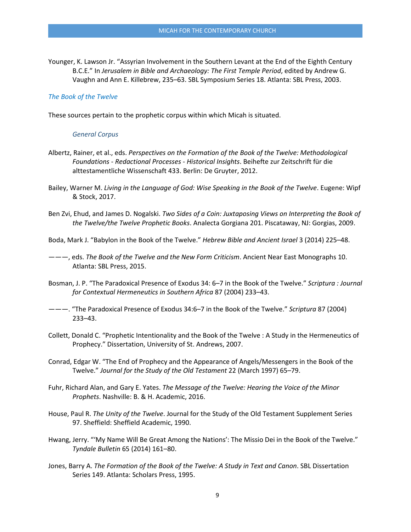Younger, K. Lawson Jr. "Assyrian Involvement in the Southern Levant at the End of the Eighth Century B.C.E." In *Jerusalem in Bible and Archaeology: The First Temple Period*, edited by Andrew G. Vaughn and Ann E. Killebrew, 235–63. SBL Symposium Series 18. Atlanta: SBL Press, 2003.

#### *The Book of the Twelve*

These sources pertain to the prophetic corpus within which Micah is situated.

#### *General Corpus*

- Albertz, Rainer, et al., eds. *Perspectives on the Formation of the Book of the Twelve: Methodological Foundations - Redactional Processes - Historical Insights*. Beihefte zur Zeitschrift für die alttestamentliche Wissenschaft 433. Berlin: De Gruyter, 2012.
- Bailey, Warner M. *Living in the Language of God: Wise Speaking in the Book of the Twelve*. Eugene: Wipf & Stock, 2017.
- Ben Zvi, Ehud, and James D. Nogalski. *Two Sides of a Coin: Juxtaposing Views on Interpreting the Book of the Twelve/the Twelve Prophetic Books*. Analecta Gorgiana 201. Piscataway, NJ: Gorgias, 2009.
- Boda, Mark J. "Babylon in the Book of the Twelve." *Hebrew Bible and Ancient Israel* 3 (2014) 225–48.
- ———, eds. *The Book of the Twelve and the New Form Criticism*. Ancient Near East Monographs 10. Atlanta: SBL Press, 2015.
- Bosman, J. P. "The Paradoxical Presence of Exodus 34: 6–7 in the Book of the Twelve." *Scriptura : Journal for Contextual Hermeneutics in Southern Africa* 87 (2004) 233–43.
- ———. "The Paradoxical Presence of Exodus 34:6–7 in the Book of the Twelve." *Scriptura* 87 (2004) 233–43.
- Collett, Donald C. "Prophetic Intentionality and the Book of the Twelve : A Study in the Hermeneutics of Prophecy." Dissertation, University of St. Andrews, 2007.
- Conrad, Edgar W. "The End of Prophecy and the Appearance of Angels/Messengers in the Book of the Twelve." *Journal for the Study of the Old Testament* 22 (March 1997) 65–79.
- Fuhr, Richard Alan, and Gary E. Yates. *The Message of the Twelve: Hearing the Voice of the Minor Prophets*. Nashville: B. & H. Academic, 2016.
- House, Paul R. *The Unity of the Twelve*. Journal for the Study of the Old Testament Supplement Series 97. Sheffield: Sheffield Academic, 1990.
- Hwang, Jerry. "'My Name Will Be Great Among the Nations': The Missio Dei in the Book of the Twelve." *Tyndale Bulletin* 65 (2014) 161–80.
- Jones, Barry A. *The Formation of the Book of the Twelve: A Study in Text and Canon*. SBL Dissertation Series 149. Atlanta: Scholars Press, 1995.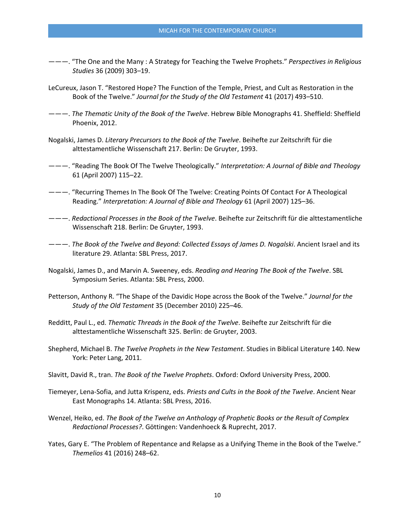- ———. "The One and the Many : A Strategy for Teaching the Twelve Prophets." *Perspectives in Religious Studies* 36 (2009) 303–19.
- LeCureux, Jason T. "Restored Hope? The Function of the Temple, Priest, and Cult as Restoration in the Book of the Twelve." *Journal for the Study of the Old Testament* 41 (2017) 493–510.
- ———. *The Thematic Unity of the Book of the Twelve*. Hebrew Bible Monographs 41. Sheffield: Sheffield Phoenix, 2012.
- Nogalski, James D. *Literary Precursors to the Book of the Twelve*. Beihefte zur Zeitschrift für die alttestamentliche Wissenschaft 217. Berlin: De Gruyter, 1993.
- ———. "Reading The Book Of The Twelve Theologically." *Interpretation: A Journal of Bible and Theology* 61 (April 2007) 115–22.
- ———. "Recurring Themes In The Book Of The Twelve: Creating Points Of Contact For A Theological Reading." *Interpretation: A Journal of Bible and Theology* 61 (April 2007) 125–36.
- ———. *Redactional Processes in the Book of the Twelve*. Beihefte zur Zeitschrift für die alttestamentliche Wissenschaft 218. Berlin: De Gruyter, 1993.
- ———. *The Book of the Twelve and Beyond: Collected Essays of James D. Nogalski*. Ancient Israel and its literature 29. Atlanta: SBL Press, 2017.
- Nogalski, James D., and Marvin A. Sweeney, eds. *Reading and Hearing The Book of the Twelve*. SBL Symposium Series. Atlanta: SBL Press, 2000.
- Petterson, Anthony R. "The Shape of the Davidic Hope across the Book of the Twelve." *Journal for the Study of the Old Testament* 35 (December 2010) 225–46.
- Redditt, Paul L., ed. *Thematic Threads in the Book of the Twelve*. Beihefte zur Zeitschrift für die alttestamentliche Wissenschaft 325. Berlin: de Gruyter, 2003.
- Shepherd, Michael B. *The Twelve Prophets in the New Testament*. Studies in Biblical Literature 140. New York: Peter Lang, 2011.
- Slavitt, David R., tran. *The Book of the Twelve Prophets*. Oxford: Oxford University Press, 2000.
- Tiemeyer, Lena-Sofia, and Jutta Krispenz, eds. *Priests and Cults in the Book of the Twelve*. Ancient Near East Monographs 14. Atlanta: SBL Press, 2016.
- Wenzel, Heiko, ed. *The Book of the Twelve an Anthology of Prophetic Books or the Result of Complex Redactional Processes?*. Göttingen: Vandenhoeck & Ruprecht, 2017.
- Yates, Gary E. "The Problem of Repentance and Relapse as a Unifying Theme in the Book of the Twelve." *Themelios* 41 (2016) 248–62.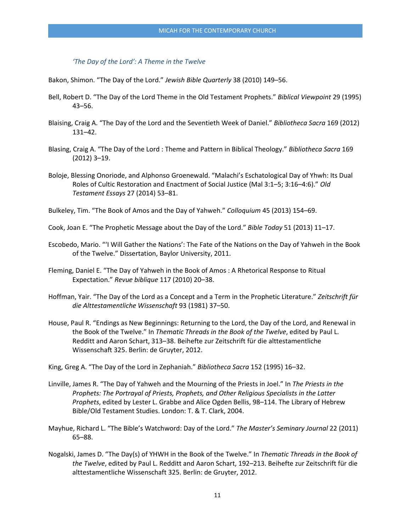#### *'The Day of the Lord': A Theme in the Twelve*

Bakon, Shimon. "The Day of the Lord." *Jewish Bible Quarterly* 38 (2010) 149–56.

- Bell, Robert D. "The Day of the Lord Theme in the Old Testament Prophets." *Biblical Viewpoint* 29 (1995) 43–56.
- Blaising, Craig A. "The Day of the Lord and the Seventieth Week of Daniel." *Bibliotheca Sacra* 169 (2012) 131–42.
- Blasing, Craig A. "The Day of the Lord : Theme and Pattern in Biblical Theology." *Bibliotheca Sacra* 169 (2012) 3–19.
- Boloje, Blessing Onoriode, and Alphonso Groenewald. "Malachi's Eschatological Day of Yhwh: Its Dual Roles of Cultic Restoration and Enactment of Social Justice (Mal 3:1–5; 3:16–4:6)." *Old Testament Essays* 27 (2014) 53–81.

Bulkeley, Tim. "The Book of Amos and the Day of Yahweh." *Colloquium* 45 (2013) 154–69.

- Cook, Joan E. "The Prophetic Message about the Day of the Lord." *Bible Today* 51 (2013) 11–17.
- Escobedo, Mario. "'I Will Gather the Nations': The Fate of the Nations on the Day of Yahweh in the Book of the Twelve." Dissertation, Baylor University, 2011.
- Fleming, Daniel E. "The Day of Yahweh in the Book of Amos : A Rhetorical Response to Ritual Expectation." *Revue biblique* 117 (2010) 20–38.
- Hoffman, Yair. "The Day of the Lord as a Concept and a Term in the Prophetic Literature." *Zeitschrift für die Alttestamentliche Wissenschaft* 93 (1981) 37–50.
- House, Paul R. "Endings as New Beginnings: Returning to the Lord, the Day of the Lord, and Renewal in the Book of the Twelve." In *Thematic Threads in the Book of the Twelve*, edited by Paul L. Redditt and Aaron Schart, 313–38. Beihefte zur Zeitschrift für die alttestamentliche Wissenschaft 325. Berlin: de Gruyter, 2012.

King, Greg A. "The Day of the Lord in Zephaniah." *Bibliotheca Sacra* 152 (1995) 16–32.

- Linville, James R. "The Day of Yahweh and the Mourning of the Priests in Joel." In *The Priests in the Prophets: The Portrayal of Priests, Prophets, and Other Religious Specialists in the Latter Prophets*, edited by Lester L. Grabbe and Alice Ogden Bellis, 98–114. The Library of Hebrew Bible/Old Testament Studies. London: T. & T. Clark, 2004.
- Mayhue, Richard L. "The Bible's Watchword: Day of the Lord." *The Master's Seminary Journal* 22 (2011) 65–88.
- Nogalski, James D. "The Day(s) of YHWH in the Book of the Twelve." In *Thematic Threads in the Book of the Twelve*, edited by Paul L. Redditt and Aaron Schart, 192–213. Beihefte zur Zeitschrift für die alttestamentliche Wissenschaft 325. Berlin: de Gruyter, 2012.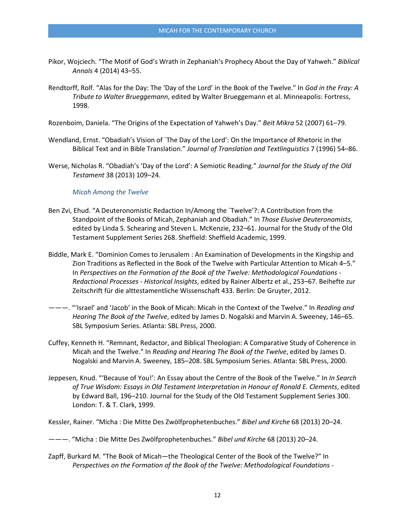- Pikor, Wojciech. "The Motif of God's Wrath in Zephaniah's Prophecy About the Day of Yahweh." *Biblical Annals* 4 (2014) 43–55.
- Rendtorff, Rolf. "Alas for the Day: The 'Day of the Lord' in the Book of the Twelve." In *God in the Fray: A Tribute to Walter Brueggemann*, edited by Walter Brueggemann et al. Minneapolis: Fortress, 1998.

Rozenboim, Daniela. "The Origins of the Expectation of Yahweh's Day." *Beit Mikra* 52 (2007) 61–79.

- Wendland, Ernst. "Obadiah's Vision of `The Day of the Lord': On the Importance of Rhetoric in the Biblical Text and in Bible Translation." *Journal of Translation and Textlinguistics* 7 (1996) 54–86.
- Werse, Nicholas R. "Obadiah's 'Day of the Lord': A Semiotic Reading." *Journal for the Study of the Old Testament* 38 (2013) 109–24.

### *Micah Among the Twelve*

- Ben Zvi, Ehud. "A Deuteronomistic Redaction In/Among the `Twelve'?: A Contribution from the Standpoint of the Books of Micah, Zephaniah and Obadiah." In *Those Elusive Deuteronomists*, edited by Linda S. Schearing and Steven L. McKenzie, 232–61. Journal for the Study of the Old Testament Supplement Series 268. Sheffield: Sheffield Academic, 1999.
- Biddle, Mark E. "Dominion Comes to Jerusalem : An Examination of Developments in the Kingship and Zion Traditions as Reflected in the Book of the Twelve with Particular Attention to Micah 4–5." In *Perspectives on the Formation of the Book of the Twelve: Methodological Foundations - Redactional Processes - Historical Insights*, edited by Rainer Albertz et al., 253–67. Beihefte zur Zeitschrift für die alttestamentliche Wissenschaft 433. Berlin: De Gruyter, 2012.
- ———. "'Israel' and 'Jacob' in the Book of Micah: Micah in the Context of the Twelve." In *Reading and Hearing The Book of the Twelve*, edited by James D. Nogalski and Marvin A. Sweeney, 146–65. SBL Symposium Series. Atlanta: SBL Press, 2000.
- Cuffey, Kenneth H. "Remnant, Redactor, and Biblical Theologian: A Comparative Study of Coherence in Micah and the Twelve." In *Reading and Hearing The Book of the Twelve*, edited by James D. Nogalski and Marvin A. Sweeney, 185–208. SBL Symposium Series. Atlanta: SBL Press, 2000.
- Jeppesen, Knud. "'Because of You!': An Essay about the Centre of the Book of the Twelve." In *In Search of True Wisdom: Essays in Old Testament Interpretation in Honour of Ronald E. Clements*, edited by Edward Ball, 196–210. Journal for the Study of the Old Testament Supplement Series 300. London: T. & T. Clark, 1999.

Kessler, Rainer. "Micha : Die Mitte Des Zwölfprophetenbuches." *Bibel und Kirche* 68 (2013) 20–24.

- ———. "Micha : Die Mitte Des Zwölfprophetenbuches." *Bibel und Kirche* 68 (2013) 20–24.
- Zapff, Burkard M. "The Book of Micah—the Theological Center of the Book of the Twelve?" In *Perspectives on the Formation of the Book of the Twelve: Methodological Foundations -*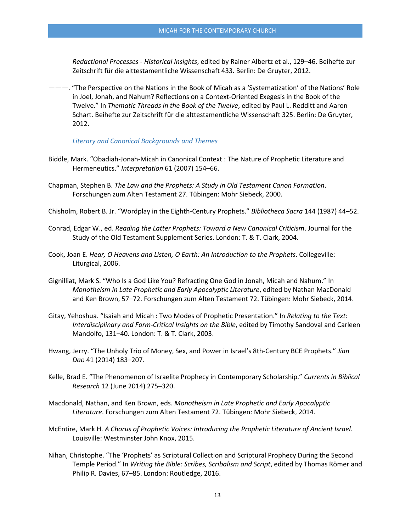*Redactional Processes - Historical Insights*, edited by Rainer Albertz et al., 129–46. Beihefte zur Zeitschrift für die alttestamentliche Wissenschaft 433. Berlin: De Gruyter, 2012.

———. "The Perspective on the Nations in the Book of Micah as a 'Systematization' of the Nations' Role in Joel, Jonah, and Nahum? Reflections on a Context-Oriented Exegesis in the Book of the Twelve." In *Thematic Threads in the Book of the Twelve*, edited by Paul L. Redditt and Aaron Schart. Beihefte zur Zeitschrift für die alttestamentliche Wissenschaft 325. Berlin: De Gruyter, 2012.

*Literary and Canonical Backgrounds and Themes*

- Biddle, Mark. "Obadiah-Jonah-Micah in Canonical Context : The Nature of Prophetic Literature and Hermeneutics." *Interpretation* 61 (2007) 154–66.
- Chapman, Stephen B. *The Law and the Prophets: A Study in Old Testament Canon Formation*. Forschungen zum Alten Testament 27. Tübingen: Mohr Siebeck, 2000.
- Chisholm, Robert B. Jr. "Wordplay in the Eighth-Century Prophets." *Bibliotheca Sacra* 144 (1987) 44–52.
- Conrad, Edgar W., ed. *Reading the Latter Prophets: Toward a New Canonical Criticism*. Journal for the Study of the Old Testament Supplement Series. London: T. & T. Clark, 2004.
- Cook, Joan E. *Hear, O Heavens and Listen, O Earth: An Introduction to the Prophets*. Collegeville: Liturgical, 2006.
- Gignilliat, Mark S. "Who Is a God Like You? Refracting One God in Jonah, Micah and Nahum." In *Monotheism in Late Prophetic and Early Apocalyptic Literature*, edited by Nathan MacDonald and Ken Brown, 57–72. Forschungen zum Alten Testament 72. Tübingen: Mohr Siebeck, 2014.
- Gitay, Yehoshua. "Isaiah and Micah : Two Modes of Prophetic Presentation." In *Relating to the Text: Interdisciplinary and Form-Critical Insights on the Bible*, edited by Timothy Sandoval and Carleen Mandolfo, 131–40. London: T. & T. Clark, 2003.
- Hwang, Jerry. "The Unholy Trio of Money, Sex, and Power in Israel's 8th-Century BCE Prophets." *Jian Dao* 41 (2014) 183–207.
- Kelle, Brad E. "The Phenomenon of Israelite Prophecy in Contemporary Scholarship." *Currents in Biblical Research* 12 (June 2014) 275–320.
- Macdonald, Nathan, and Ken Brown, eds. *Monotheism in Late Prophetic and Early Apocalyptic Literature*. Forschungen zum Alten Testament 72. Tübingen: Mohr Siebeck, 2014.
- McEntire, Mark H. *A Chorus of Prophetic Voices: Introducing the Prophetic Literature of Ancient Israel*. Louisville: Westminster John Knox, 2015.
- Nihan, Christophe. "The 'Prophets' as Scriptural Collection and Scriptural Prophecy During the Second Temple Period." In *Writing the Bible: Scribes, Scribalism and Script*, edited by Thomas Römer and Philip R. Davies, 67–85. London: Routledge, 2016.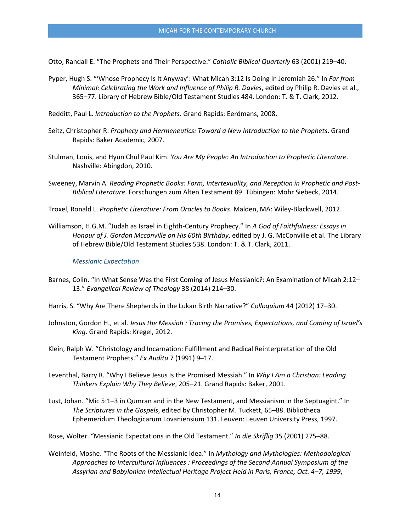Otto, Randall E. "The Prophets and Their Perspective." *Catholic Biblical Quarterly* 63 (2001) 219–40.

- Pyper, Hugh S. "'Whose Prophecy Is It Anyway': What Micah 3:12 Is Doing in Jeremiah 26." In *Far from Minimal: Celebrating the Work and Influence of Philip R. Davies*, edited by Philip R. Davies et al., 365–77. Library of Hebrew Bible/Old Testament Studies 484. London: T. & T. Clark, 2012.
- Redditt, Paul L. *Introduction to the Prophets*. Grand Rapids: Eerdmans, 2008.
- Seitz, Christopher R. *Prophecy and Hermeneutics: Toward a New Introduction to the Prophets*. Grand Rapids: Baker Academic, 2007.
- Stulman, Louis, and Hyun Chul Paul Kim. *You Are My People: An Introduction to Prophetic Literature*. Nashville: Abingdon, 2010.
- Sweeney, Marvin A. *Reading Prophetic Books: Form, Intertexuality, and Reception in Prophetic and Post-Biblical Literature*. Forschungen zum Alten Testament 89. Tübingen: Mohr Siebeck, 2014.
- Troxel, Ronald L. *Prophetic Literature: From Oracles to Books*. Malden, MA: Wiley-Blackwell, 2012.
- Williamson, H.G.M. "Judah as Israel in Eighth-Century Prophecy." In *A God of Faithfulness: Essays in Honour of J. Gordon Mcconville on His 60th Birthday*, edited by J. G. McConville et al. The Library of Hebrew Bible/Old Testament Studies 538. London: T. & T. Clark, 2011.

#### *Messianic Expectation*

- Barnes, Colin. "In What Sense Was the First Coming of Jesus Messianic?: An Examination of Micah 2:12– 13." *Evangelical Review of Theology* 38 (2014) 214–30.
- Harris, S. "Why Are There Shepherds in the Lukan Birth Narrative?" *Colloquium* 44 (2012) 17–30.
- Johnston, Gordon H., et al. *Jesus the Messiah : Tracing the Promises, Expectations, and Coming of Israel's King*. Grand Rapids: Kregel, 2012.
- Klein, Ralph W. "Christology and Incarnation: Fulfillment and Radical Reinterpretation of the Old Testament Prophets." *Ex Auditu* 7 (1991) 9–17.
- Leventhal, Barry R. "Why I Believe Jesus Is the Promised Messiah." In *Why I Am a Christian: Leading Thinkers Explain Why They Believe*, 205–21. Grand Rapids: Baker, 2001.
- Lust, Johan. "Mic 5:1–3 in Qumran and in the New Testament, and Messianism in the Septuagint." In *The Scriptures in the Gospels*, edited by Christopher M. Tuckett, 65–88. Bibliotheca Ephemeridum Theologicarum Lovaniensium 131. Leuven: Leuven University Press, 1997.
- Rose, Wolter. "Messianic Expectations in the Old Testament." *In die Skriflig* 35 (2001) 275–88.
- Weinfeld, Moshe. "The Roots of the Messianic Idea." In *Mythology and Mythologies: Methodological Approaches to Intercultural Influences : Proceedings of the Second Annual Symposium of the Assyrian and Babylonian Intellectual Heritage Project Held in Paris, France, Oct. 4–7, 1999*,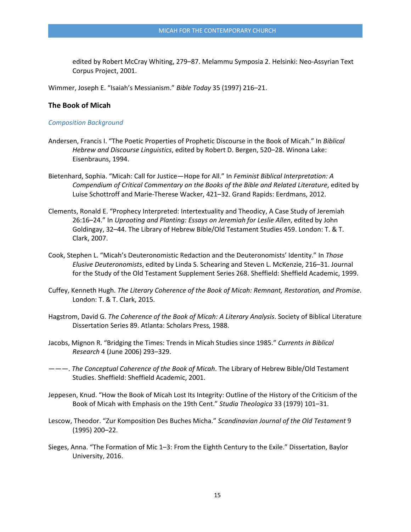edited by Robert McCray Whiting, 279–87. Melammu Symposia 2. Helsinki: Neo-Assyrian Text Corpus Project, 2001.

Wimmer, Joseph E. "Isaiah's Messianism." *Bible Today* 35 (1997) 216–21.

#### **The Book of Micah**

### *Composition Background*

- Andersen, Francis I. "The Poetic Properties of Prophetic Discourse in the Book of Micah." In *Biblical Hebrew and Discourse Linguistics*, edited by Robert D. Bergen, 520–28. Winona Lake: Eisenbrauns, 1994.
- Bietenhard, Sophia. "Micah: Call for Justice—Hope for All." In *Feminist Biblical Interpretation: A Compendium of Critical Commentary on the Books of the Bible and Related Literature*, edited by Luise Schottroff and Marie-Therese Wacker, 421–32. Grand Rapids: Eerdmans, 2012.
- Clements, Ronald E. "Prophecy Interpreted: Intertextuality and Theodicy, A Case Study of Jeremiah 26:16–24." In *Uprooting and Planting: Essays on Jeremiah for Leslie Allen*, edited by John Goldingay, 32–44. The Library of Hebrew Bible/Old Testament Studies 459. London: T. & T. Clark, 2007.
- Cook, Stephen L. "Micah's Deuteronomistic Redaction and the Deuteronomists' Identity." In *Those Elusive Deuteronomists*, edited by Linda S. Schearing and Steven L. McKenzie, 216–31. Journal for the Study of the Old Testament Supplement Series 268. Sheffield: Sheffield Academic, 1999.
- Cuffey, Kenneth Hugh. *The Literary Coherence of the Book of Micah: Remnant, Restoration, and Promise*. London: T. & T. Clark, 2015.
- Hagstrom, David G. *The Coherence of the Book of Micah: A Literary Analysis*. Society of Biblical Literature Dissertation Series 89. Atlanta: Scholars Press, 1988.
- Jacobs, Mignon R. "Bridging the Times: Trends in Micah Studies since 1985." *Currents in Biblical Research* 4 (June 2006) 293–329.
- ———. *The Conceptual Coherence of the Book of Micah*. The Library of Hebrew Bible/Old Testament Studies. Sheffield: Sheffield Academic, 2001.
- Jeppesen, Knud. "How the Book of Micah Lost Its Integrity: Outline of the History of the Criticism of the Book of Micah with Emphasis on the 19th Cent." *Studia Theologica* 33 (1979) 101–31.
- Lescow, Theodor. "Zur Komposition Des Buches Micha." *Scandinavian Journal of the Old Testament* 9 (1995) 200–22.
- Sieges, Anna. "The Formation of Mic 1–3: From the Eighth Century to the Exile." Dissertation, Baylor University, 2016.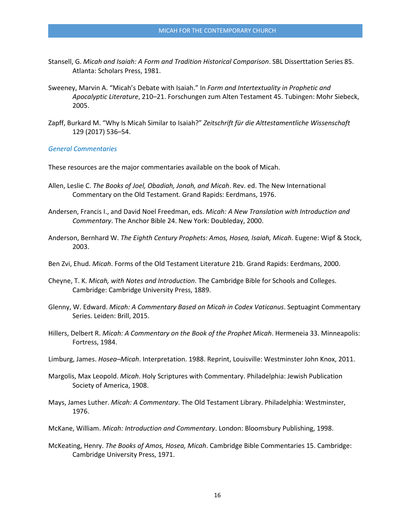- Stansell, G. *Micah and Isaiah: A Form and Tradition Historical Comparison*. SBL Disserttation Series 85. Atlanta: Scholars Press, 1981.
- Sweeney, Marvin A. "Micah's Debate with Isaiah." In *Form and Intertextuality in Prophetic and Apocalyptic Literature*, 210–21. Forschungen zum Alten Testament 45. Tubingen: Mohr Siebeck, 2005.
- Zapff, Burkard M. "Why Is Micah Similar to Isaiah?" *Zeitschrift für die Alttestamentliche Wissenschaft* 129 (2017) 536–54.

*General Commentaries* 

These resources are the major commentaries available on the book of Micah.

- Allen, Leslie C. *The Books of Joel, Obadiah, Jonah, and Micah*. Rev. ed. The New International Commentary on the Old Testament. Grand Rapids: Eerdmans, 1976.
- Andersen, Francis I., and David Noel Freedman, eds. *Micah: A New Translation with Introduction and Commentary*. The Anchor Bible 24. New York: Doubleday, 2000.
- Anderson, Bernhard W. *The Eighth Century Prophets: Amos, Hosea, Isaiah, Micah*. Eugene: Wipf & Stock, 2003.
- Ben Zvi, Ehud. *Micah*. Forms of the Old Testament Literature 21b. Grand Rapids: Eerdmans, 2000.
- Cheyne, T. K. *Micah, with Notes and Introduction*. The Cambridge Bible for Schools and Colleges. Cambridge: Cambridge University Press, 1889.
- Glenny, W. Edward. *Micah: A Commentary Based on Micah in Codex Vaticanus*. Septuagint Commentary Series. Leiden: Brill, 2015.
- Hillers, Delbert R. *Micah: A Commentary on the Book of the Prophet Micah*. Hermeneia 33. Minneapolis: Fortress, 1984.
- Limburg, James. *Hosea–Micah*. Interpretation. 1988. Reprint, Louisville: Westminster John Knox, 2011.
- Margolis, Max Leopold. *Micah*. Holy Scriptures with Commentary. Philadelphia: Jewish Publication Society of America, 1908.
- Mays, James Luther. *Micah: A Commentary*. The Old Testament Library. Philadelphia: Westminster, 1976.
- McKane, William. *Micah: Introduction and Commentary*. London: Bloomsbury Publishing, 1998.
- McKeating, Henry. *The Books of Amos, Hosea, Micah*. Cambridge Bible Commentaries 15. Cambridge: Cambridge University Press, 1971.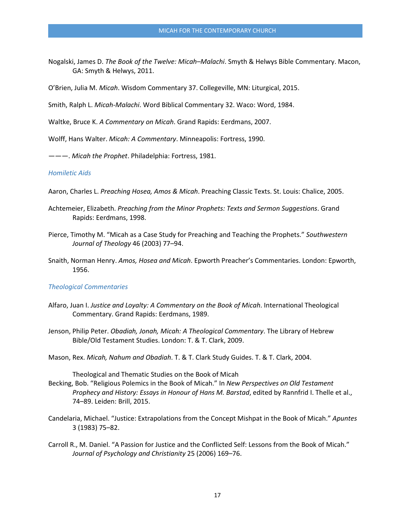Nogalski, James D. *The Book of the Twelve: Micah–Malachi*. Smyth & Helwys Bible Commentary. Macon, GA: Smyth & Helwys, 2011.

O'Brien, Julia M. *Micah*. Wisdom Commentary 37. Collegeville, MN: Liturgical, 2015.

Smith, Ralph L. *Micah-Malachi*. Word Biblical Commentary 32. Waco: Word, 1984.

Waltke, Bruce K. *A Commentary on Micah*. Grand Rapids: Eerdmans, 2007.

Wolff, Hans Walter. *Micah: A Commentary*. Minneapolis: Fortress, 1990.

———. *Micah the Prophet*. Philadelphia: Fortress, 1981.

### *Homiletic Aids*

Aaron, Charles L. *Preaching Hosea, Amos & Micah*. Preaching Classic Texts. St. Louis: Chalice, 2005.

- Achtemeier, Elizabeth. *Preaching from the Minor Prophets: Texts and Sermon Suggestions*. Grand Rapids: Eerdmans, 1998.
- Pierce, Timothy M. "Micah as a Case Study for Preaching and Teaching the Prophets." *Southwestern Journal of Theology* 46 (2003) 77–94.
- Snaith, Norman Henry. *Amos, Hosea and Micah*. Epworth Preacher's Commentaries. London: Epworth, 1956.

#### *Theological Commentaries*

- Alfaro, Juan I. *Justice and Loyalty: A Commentary on the Book of Micah*. International Theological Commentary. Grand Rapids: Eerdmans, 1989.
- Jenson, Philip Peter. *Obadiah, Jonah, Micah: A Theological Commentary*. The Library of Hebrew Bible/Old Testament Studies. London: T. & T. Clark, 2009.
- Mason, Rex. *Micah, Nahum and Obadiah*. T. & T. Clark Study Guides. T. & T. Clark, 2004.

Theological and Thematic Studies on the Book of Micah

- Becking, Bob. "Religious Polemics in the Book of Micah." In *New Perspectives on Old Testament Prophecy and History: Essays in Honour of Hans M. Barstad*, edited by Rannfrid I. Thelle et al., 74–89. Leiden: Brill, 2015.
- Candelaria, Michael. "Justice: Extrapolations from the Concept Mishpat in the Book of Micah." *Apuntes* 3 (1983) 75–82.
- Carroll R., M. Daniel. "A Passion for Justice and the Conflicted Self: Lessons from the Book of Micah." *Journal of Psychology and Christianity* 25 (2006) 169–76.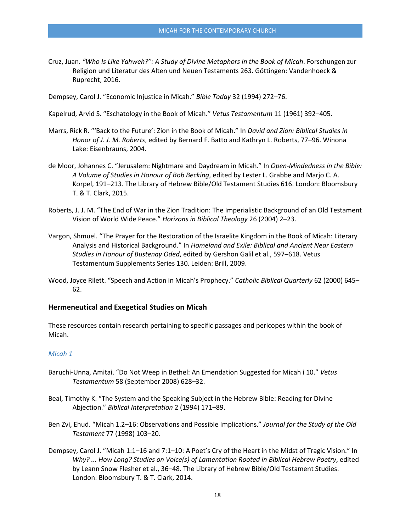Cruz, Juan. *"Who Is Like Yahweh?": A Study of Divine Metaphors in the Book of Micah*. Forschungen zur Religion und Literatur des Alten und Neuen Testaments 263. Göttingen: Vandenhoeck & Ruprecht, 2016.

Dempsey, Carol J. "Economic Injustice in Micah." *Bible Today* 32 (1994) 272–76.

- Kapelrud, Arvid S. "Eschatology in the Book of Micah." *Vetus Testamentum* 11 (1961) 392–405.
- Marrs, Rick R. "'Back to the Future': Zion in the Book of Micah." In *David and Zion: Biblical Studies in Honor of J. J. M. Roberts*, edited by Bernard F. Batto and Kathryn L. Roberts, 77–96. Winona Lake: Eisenbrauns, 2004.
- de Moor, Johannes C. "Jerusalem: Nightmare and Daydream in Micah." In *Open-Mindedness in the Bible: A Volume of Studies in Honour of Bob Becking*, edited by Lester L. Grabbe and Marjo C. A. Korpel, 191–213. The Library of Hebrew Bible/Old Testament Studies 616. London: Bloomsbury T. & T. Clark, 2015.
- Roberts, J. J. M. "The End of War in the Zion Tradition: The Imperialistic Background of an Old Testament Vision of World Wide Peace." *Horizons in Biblical Theology* 26 (2004) 2–23.
- Vargon, Shmuel. "The Prayer for the Restoration of the Israelite Kingdom in the Book of Micah: Literary Analysis and Historical Background." In *Homeland and Exile: Biblical and Ancient Near Eastern Studies in Honour of Bustenay Oded*, edited by Gershon Galil et al., 597–618. Vetus Testamentum Supplements Series 130. Leiden: Brill, 2009.
- Wood, Joyce Rilett. "Speech and Action in Micah's Prophecy." *Catholic Biblical Quarterly* 62 (2000) 645– 62.

### **Hermeneutical and Exegetical Studies on Micah**

These resources contain research pertaining to specific passages and pericopes within the book of Micah.

### *Micah 1*

- Baruchi-Unna, Amitai. "Do Not Weep in Bethel: An Emendation Suggested for Micah i 10." *Vetus Testamentum* 58 (September 2008) 628–32.
- Beal, Timothy K. "The System and the Speaking Subject in the Hebrew Bible: Reading for Divine Abjection." *Biblical Interpretation* 2 (1994) 171–89.
- Ben Zvi, Ehud. "Micah 1.2–16: Observations and Possible Implications." *Journal for the Study of the Old Testament* 77 (1998) 103–20.
- Dempsey, Carol J. "Micah 1:1–16 and 7:1–10: A Poet's Cry of the Heart in the Midst of Tragic Vision." In *Why? ... How Long? Studies on Voice(s) of Lamentation Rooted in Biblical Hebrew Poetry*, edited by Leann Snow Flesher et al., 36–48. The Library of Hebrew Bible/Old Testament Studies. London: Bloomsbury T. & T. Clark, 2014.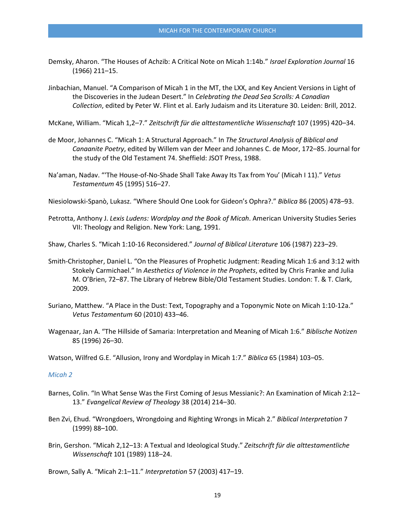- Demsky, Aharon. "The Houses of Achzib: A Critical Note on Micah 1:14b." *Israel Exploration Journal* 16 (1966) 211–15.
- Jinbachian, Manuel. "A Comparison of Micah 1 in the MT, the LXX, and Key Ancient Versions in Light of the Discoveries in the Judean Desert." In *Celebrating the Dead Sea Scrolls: A Canadian Collection*, edited by Peter W. Flint et al. Early Judaism and its Literature 30. Leiden: Brill, 2012.

McKane, William. "Micah 1,2–7." *Zeitschrift für die alttestamentliche Wissenschaft* 107 (1995) 420–34.

- de Moor, Johannes C. "Micah 1: A Structural Approach." In *The Structural Analysis of Biblical and Canaanite Poetry*, edited by Willem van der Meer and Johannes C. de Moor, 172–85. Journal for the study of the Old Testament 74. Sheffield: JSOT Press, 1988.
- Na'aman, Nadav. "'The House-of-No-Shade Shall Take Away Its Tax from You' (Micah I 11)." *Vetus Testamentum* 45 (1995) 516–27.

Niesiolowski-Spanò, Lukasz. "Where Should One Look for Gideon's Ophra?." *Biblica* 86 (2005) 478–93.

Petrotta, Anthony J. *Lexis Ludens: Wordplay and the Book of Micah*. American University Studies Series VII: Theology and Religion. New York: Lang, 1991.

Shaw, Charles S. "Micah 1:10-16 Reconsidered." *Journal of Biblical Literature* 106 (1987) 223–29.

- Smith-Christopher, Daniel L. "On the Pleasures of Prophetic Judgment: Reading Micah 1:6 and 3:12 with Stokely Carmichael." In *Aesthetics of Violence in the Prophets*, edited by Chris Franke and Julia M. O'Brien, 72–87. The Library of Hebrew Bible/Old Testament Studies. London: T. & T. Clark, 2009.
- Suriano, Matthew. "A Place in the Dust: Text, Topography and a Toponymic Note on Micah 1:10-12a." *Vetus Testamentum* 60 (2010) 433–46.
- Wagenaar, Jan A. "The Hillside of Samaria: Interpretation and Meaning of Micah 1:6." *Biblische Notizen* 85 (1996) 26–30.

Watson, Wilfred G.E. "Allusion, Irony and Wordplay in Micah 1:7." *Biblica* 65 (1984) 103–05.

### *Micah 2*

- Barnes, Colin. "In What Sense Was the First Coming of Jesus Messianic?: An Examination of Micah 2:12– 13." *Evangelical Review of Theology* 38 (2014) 214–30.
- Ben Zvi, Ehud. "Wrongdoers, Wrongdoing and Righting Wrongs in Micah 2." *Biblical Interpretation* 7 (1999) 88–100.
- Brin, Gershon. "Micah 2,12–13: A Textual and Ideological Study." *Zeitschrift für die alttestamentliche Wissenschaft* 101 (1989) 118–24.

Brown, Sally A. "Micah 2:1–11." *Interpretation* 57 (2003) 417–19.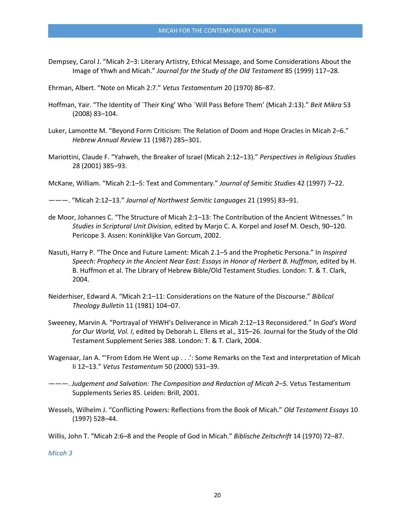Dempsey, Carol J. "Micah 2–3: Literary Artistry, Ethical Message, and Some Considerations About the Image of Yhwh and Micah." *Journal for the Study of the Old Testament* 85 (1999) 117–28.

Ehrman, Albert. "Note on Micah 2:7." *Vetus Testamentum* 20 (1970) 86–87.

- Hoffman, Yair. "The Identity of `Their King' Who `Will Pass Before Them' (Micah 2:13)." *Beit Mikra* 53 (2008) 83–104.
- Luker, Lamontte M. "Beyond Form Criticism: The Relation of Doom and Hope Oracles in Micah 2–6." *Hebrew Annual Review* 11 (1987) 285–301.
- Mariottini, Claude F. "Yahweh, the Breaker of Israel (Micah 2:12–13)." *Perspectives in Religious Studies* 28 (2001) 385–93.

McKane, William. "Micah 2:1–5: Text and Commentary." *Journal of Semitic Studies* 42 (1997) 7–22.

———. "Micah 2:12–13." *Journal of Northwest Semitic Languages* 21 (1995) 83–91.

- de Moor, Johannes C. "The Structure of Micah 2:1–13: The Contribution of the Ancient Witnesses." In *Studies in Scriptural Unit Division*, edited by Marjo C. A. Korpel and Josef M. Oesch, 90–120. Pericope 3. Assen: Koninklijke Van Gorcum, 2002.
- Nasuti, Harry P. "The Once and Future Lament: Micah 2.1–5 and the Prophetic Persona." In *Inspired Speech: Prophecy in the Ancient Near East: Essays in Honor of Herbert B. Huffmon*, edited by H. B. Huffmon et al. The Library of Hebrew Bible/Old Testament Studies. London: T. & T. Clark, 2004.
- Neiderhiser, Edward A. "Micah 2:1–11: Considerations on the Nature of the Discourse." *Biblical Theology Bulletin* 11 (1981) 104–07.
- Sweeney, Marvin A. "Portrayal of YHWH's Deliverance in Micah 2:12–13 Reconsidered." In *God's Word for Our World, Vol. I*, edited by Deborah L. Ellens et al., 315–26. Journal for the Study of the Old Testament Supplement Series 388. London: T. & T. Clark, 2004.
- Wagenaar, Jan A. "'From Edom He Went up . . .': Some Remarks on the Text and Interpretation of Micah Ii 12–13." *Vetus Testamentum* 50 (2000) 531–39.
- ———. *Judgement and Salvation: The Composition and Redaction of Micah 2–5.* Vetus Testamentum Supplements Series 85. Leiden: Brill, 2001.
- Wessels, Wilhelm J. "Conflicting Powers: Reflections from the Book of Micah." *Old Testament Essays* 10 (1997) 528–44.

Willis, John T. "Micah 2:6–8 and the People of God in Micah." *Biblische Zeitschrift* 14 (1970) 72–87.

*Micah 3*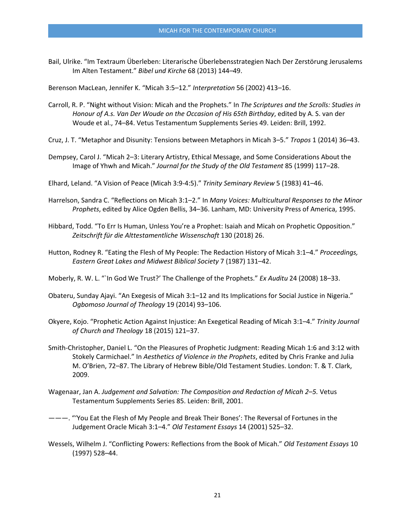Bail, Ulrike. "Im Textraum Überleben: Literarische Überlebensstrategien Nach Der Zerstörung Jerusalems Im Alten Testament." *Bibel und Kirche* 68 (2013) 144–49.

Berenson MacLean, Jennifer K. "Micah 3:5–12." *Interpretation* 56 (2002) 413–16.

- Carroll, R. P. "Night without Vision: Micah and the Prophets." In *The Scriptures and the Scrolls: Studies in Honour of A.s. Van Der Woude on the Occasion of His 65th Birthday*, edited by A. S. van der Woude et al., 74–84. Vetus Testamentum Supplements Series 49. Leiden: Brill, 1992.
- Cruz, J. T. "Metaphor and Disunity: Tensions between Metaphors in Micah 3–5." *Tropos* 1 (2014) 36–43.
- Dempsey, Carol J. "Micah 2–3: Literary Artistry, Ethical Message, and Some Considerations About the Image of Yhwh and Micah." *Journal for the Study of the Old Testament* 85 (1999) 117–28.
- Elhard, Leland. "A Vision of Peace (Micah 3:9-4:5)." *Trinity Seminary Review* 5 (1983) 41–46.
- Harrelson, Sandra C. "Reflections on Micah 3:1–2." In *Many Voices: Multicultural Responses to the Minor Prophets*, edited by Alice Ogden Bellis, 34–36. Lanham, MD: University Press of America, 1995.
- Hibbard, Todd. "To Err Is Human, Unless You're a Prophet: Isaiah and Micah on Prophetic Opposition." *Zeitschrift für die Alttestamentliche Wissenschaft* 130 (2018) 26.
- Hutton, Rodney R. "Eating the Flesh of My People: The Redaction History of Micah 3:1–4." *Proceedings, Eastern Great Lakes and Midwest Biblical Society* 7 (1987) 131–42.
- Moberly, R. W. L. "`In God We Trust?' The Challenge of the Prophets." *Ex Auditu* 24 (2008) 18–33.
- Obateru, Sunday Ajayi. "An Exegesis of Micah 3:1–12 and Its Implications for Social Justice in Nigeria." *Ogbomoso Journal of Theology* 19 (2014) 93–106.
- Okyere, Kojo. "Prophetic Action Against Injustice: An Exegetical Reading of Micah 3:1–4." *Trinity Journal of Church and Theology* 18 (2015) 121–37.
- Smith-Christopher, Daniel L. "On the Pleasures of Prophetic Judgment: Reading Micah 1:6 and 3:12 with Stokely Carmichael." In *Aesthetics of Violence in the Prophets*, edited by Chris Franke and Julia M. O'Brien, 72–87. The Library of Hebrew Bible/Old Testament Studies. London: T. & T. Clark, 2009.
- Wagenaar, Jan A. *Judgement and Salvation: The Composition and Redaction of Micah 2–5.* Vetus Testamentum Supplements Series 85. Leiden: Brill, 2001.
- ———. "'You Eat the Flesh of My People and Break Their Bones': The Reversal of Fortunes in the Judgement Oracle Micah 3:1–4." *Old Testament Essays* 14 (2001) 525–32.
- Wessels, Wilhelm J. "Conflicting Powers: Reflections from the Book of Micah." *Old Testament Essays* 10 (1997) 528–44.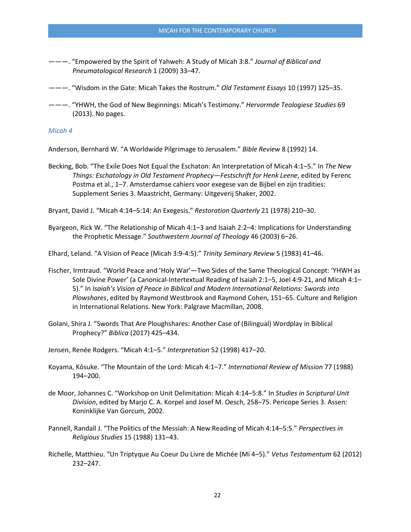———. "Empowered by the Spirit of Yahweh: A Study of Micah 3:8." *Journal of Biblical and Pneumatological Research* 1 (2009) 33–47.

———. "Wisdom in the Gate: Micah Takes the Rostrum." *Old Testament Essays* 10 (1997) 125–35.

———. "YHWH, the God of New Beginnings: Micah's Testimony." *Hervormde Teologiese Studies* 69 (2013). No pages.

### *Micah 4*

Anderson, Bernhard W. "A Worldwide Pilgrimage to Jerusalem." *Bible Review* 8 (1992) 14.

Becking, Bob. "The Exile Does Not Equal the Eschaton: An Interpretation of Micah 4:1–5." In *The New Things: Eschatology in Old Testament Prophecy—Festschrift for Henk Leene*, edited by Ferenc Postma et al., 1–7. Amsterdamse cahiers voor exegese van de Bijbel en zijn tradities: Supplement Series 3. Maastricht, Germany: Uitgeverij Shaker, 2002.

Bryant, David J. "Micah 4:14–5:14: An Exegesis." *Restoration Quarterly* 21 (1978) 210–30.

Byargeon, Rick W. "The Relationship of Micah 4:1–3 and Isaiah 2:2–4: Implications for Understanding the Prophetic Message." *Southwestern Journal of Theology* 46 (2003) 6–26.

Elhard, Leland. "A Vision of Peace (Micah 3:9-4:5)." *Trinity Seminary Review* 5 (1983) 41–46.

- Fischer, Irmtraud. "World Peace and 'Holy War'—Two Sides of the Same Theological Concept: 'YHWH as Sole Divine Power' (a Canonical-Intertextual Reading of Isaiah 2:1–5, Joel 4:9-21, and Micah 4:1– 5)." In *Isaiah's Vision of Peace in Biblical and Modern International Relations: Swords into Plowshares*, edited by Raymond Westbrook and Raymond Cohen, 151–65. Culture and Religion in International Relations. New York: Palgrave Macmillan, 2008.
- Golani, Shira J. "Swords That Are Ploughshares: Another Case of (Bilingual) Wordplay in Biblical Prophecy?" *Biblica* (2017) 425–434.
- Jensen, Renée Rodgers. "Micah 4:1–5." *Interpretation* 52 (1998) 417–20.
- Koyama, Kōsuke. "The Mountain of the Lord: Micah 4:1–7." *International Review of Mission* 77 (1988) 194–200.
- de Moor, Johannes C. "Workshop on Unit Delimitation: Micah 4:14–5:8." In *Studies in Scriptural Unit Division*, edited by Marjo C. A. Korpel and Josef M. Oesch, 258–75. Pericope Series 3. Assen: Koninklijke Van Gorcum, 2002.
- Pannell, Randall J. "The Politics of the Messiah: A New Reading of Micah 4:14–5:5." *Perspectives in Religious Studies* 15 (1988) 131–43.
- Richelle, Matthieu. "Un Triptyque Au Coeur Du Livre de Michée (Mi 4–5)." *Vetus Testamentum* 62 (2012) 232–247.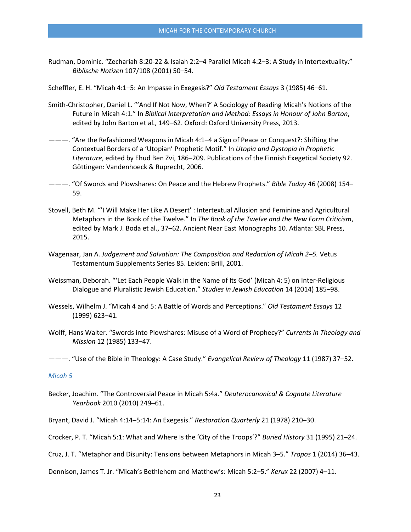Rudman, Dominic. "Zechariah 8:20-22 & Isaiah 2:2–4 Parallel Micah 4:2–3: A Study in Intertextuality." *Biblische Notizen* 107/108 (2001) 50–54.

Scheffler, E. H. "Micah 4:1–5: An Impasse in Exegesis?" *Old Testament Essays* 3 (1985) 46–61.

- Smith-Christopher, Daniel L. "'And If Not Now, When?' A Sociology of Reading Micah's Notions of the Future in Micah 4:1." In *Biblical Interpretation and Method: Essays in Honour of John Barton*, edited by John Barton et al., 149–62. Oxford: Oxford University Press, 2013.
- ———. "Are the Refashioned Weapons in Micah 4:1–4 a Sign of Peace or Conquest?: Shifting the Contextual Borders of a 'Utopian' Prophetic Motif." In *Utopia and Dystopia in Prophetic Literature*, edited by Ehud Ben Zvi, 186–209. Publications of the Finnish Exegetical Society 92. Göttingen: Vandenhoeck & Ruprecht, 2006.
- ———. "Of Swords and Plowshares: On Peace and the Hebrew Prophets." *Bible Today* 46 (2008) 154– 59.
- Stovell, Beth M. "'I Will Make Her Like A Desert' : Intertextual Allusion and Feminine and Agricultural Metaphors in the Book of the Twelve." In *The Book of the Twelve and the New Form Criticism*, edited by Mark J. Boda et al., 37–62. Ancient Near East Monographs 10. Atlanta: SBL Press, 2015.
- Wagenaar, Jan A. *Judgement and Salvation: The Composition and Redaction of Micah 2–5.* Vetus Testamentum Supplements Series 85. Leiden: Brill, 2001.
- Weissman, Deborah. "'Let Each People Walk in the Name of Its God' (Micah 4: 5) on Inter-Religious Dialogue and Pluralistic Jewish Education." *Studies in Jewish Education* 14 (2014) 185–98.
- Wessels, Wilhelm J. "Micah 4 and 5: A Battle of Words and Perceptions." *Old Testament Essays* 12 (1999) 623–41.
- Wolff, Hans Walter. "Swords into Plowshares: Misuse of a Word of Prophecy?" *Currents in Theology and Mission* 12 (1985) 133–47.

———. "Use of the Bible in Theology: A Case Study." *Evangelical Review of Theology* 11 (1987) 37–52.

### *Micah 5*

Becker, Joachim. "The Controversial Peace in Micah 5:4a." *Deuterocanonical & Cognate Literature Yearbook* 2010 (2010) 249–61.

Bryant, David J. "Micah 4:14–5:14: An Exegesis." *Restoration Quarterly* 21 (1978) 210–30.

Crocker, P. T. "Micah 5:1: What and Where Is the 'City of the Troops'?" *Buried History* 31 (1995) 21–24.

Cruz, J. T. "Metaphor and Disunity: Tensions between Metaphors in Micah 3–5." *Tropos* 1 (2014) 36–43.

Dennison, James T. Jr. "Micah's Bethlehem and Matthew's: Micah 5:2–5." *Kerux* 22 (2007) 4–11.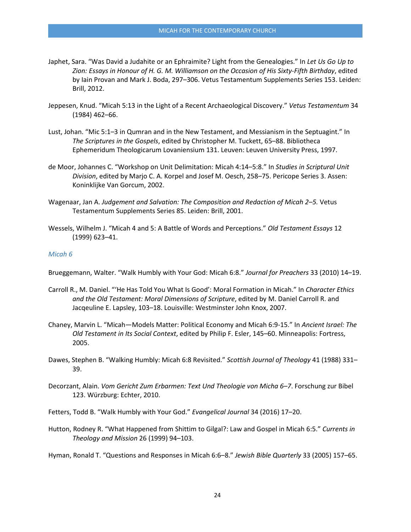- Japhet, Sara. "Was David a Judahite or an Ephraimite? Light from the Genealogies." In *Let Us Go Up to Zion: Essays in Honour of H. G. M. Williamson on the Occasion of His Sixty-Fifth Birthday*, edited by Iain Provan and Mark J. Boda, 297–306. Vetus Testamentum Supplements Series 153. Leiden: Brill, 2012.
- Jeppesen, Knud. "Micah 5:13 in the Light of a Recent Archaeological Discovery." *Vetus Testamentum* 34 (1984) 462–66.
- Lust, Johan. "Mic 5:1–3 in Qumran and in the New Testament, and Messianism in the Septuagint." In *The Scriptures in the Gospels*, edited by Christopher M. Tuckett, 65–88. Bibliotheca Ephemeridum Theologicarum Lovaniensium 131. Leuven: Leuven University Press, 1997.
- de Moor, Johannes C. "Workshop on Unit Delimitation: Micah 4:14–5:8." In *Studies in Scriptural Unit Division*, edited by Marjo C. A. Korpel and Josef M. Oesch, 258–75. Pericope Series 3. Assen: Koninklijke Van Gorcum, 2002.
- Wagenaar, Jan A. *Judgement and Salvation: The Composition and Redaction of Micah 2–5.* Vetus Testamentum Supplements Series 85. Leiden: Brill, 2001.
- Wessels, Wilhelm J. "Micah 4 and 5: A Battle of Words and Perceptions." *Old Testament Essays* 12 (1999) 623–41.

### *Micah 6*

Brueggemann, Walter. "Walk Humbly with Your God: Micah 6:8." *Journal for Preachers* 33 (2010) 14–19.

- Carroll R., M. Daniel. "'He Has Told You What Is Good': Moral Formation in Micah." In *Character Ethics and the Old Testament: Moral Dimensions of Scripture*, edited by M. Daniel Carroll R. and Jacqeuline E. Lapsley, 103–18. Louisville: Westminster John Knox, 2007.
- Chaney, Marvin L. "Micah—Models Matter: Political Economy and Micah 6:9-15." In *Ancient Israel: The Old Testament in Its Social Context*, edited by Philip F. Esler, 145–60. Minneapolis: Fortress, 2005.
- Dawes, Stephen B. "Walking Humbly: Micah 6:8 Revisited." *Scottish Journal of Theology* 41 (1988) 331– 39.
- Decorzant, Alain. *Vom Gericht Zum Erbarmen: Text Und Theologie von Micha 6–7*. Forschung zur Bibel 123. Würzburg: Echter, 2010.
- Fetters, Todd B. "Walk Humbly with Your God." *Evangelical Journal* 34 (2016) 17–20.
- Hutton, Rodney R. "What Happened from Shittim to Gilgal?: Law and Gospel in Micah 6:5." *Currents in Theology and Mission* 26 (1999) 94–103.

Hyman, Ronald T. "Questions and Responses in Micah 6:6–8." *Jewish Bible Quarterly* 33 (2005) 157–65.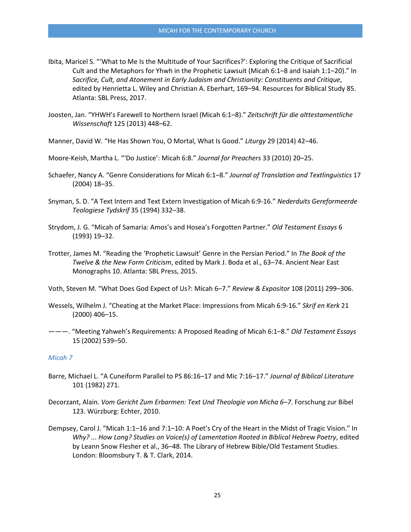- Ibita, Maricel S. "'What to Me Is the Multitude of Your Sacrifices?': Exploring the Critique of Sacrificial Cult and the Metaphors for Yhwh in the Prophetic Lawsuit (Micah 6:1–8 and Isaiah 1:1–20)." In *Sacrifice, Cult, and Atonement in Early Judaism and Christianity: Constituents and Critique*, edited by Henrietta L. Wiley and Christian A. Eberhart, 169–94. Resources for Biblical Study 85. Atlanta: SBL Press, 2017.
- Joosten, Jan. "YHWH's Farewell to Northern Israel (Micah 6:1–8)." *Zeitschrift für die alttestamentliche Wissenschaft* 125 (2013) 448–62.
- Manner, David W. "He Has Shown You, O Mortal, What Is Good." *Liturgy* 29 (2014) 42–46.
- Moore-Keish, Martha L. "'Do Justice': Micah 6:8." *Journal for Preachers* 33 (2010) 20–25.
- Schaefer, Nancy A. "Genre Considerations for Micah 6:1–8." *Journal of Translation and Textlinguistics* 17 (2004) 18–35.
- Snyman, S. D. "A Text Intern and Text Extern Investigation of Micah 6:9-16." *Nederduits Gereformeerde Teologiese Tydskrif* 35 (1994) 332–38.
- Strydom, J. G. "Micah of Samaria: Amos's and Hosea's Forgotten Partner." *Old Testament Essays* 6 (1993) 19–32.
- Trotter, James M. "Reading the 'Prophetic Lawsuit' Genre in the Persian Period." In *The Book of the Twelve & the New Form Criticism*, edited by Mark J. Boda et al., 63–74. Ancient Near East Monographs 10. Atlanta: SBL Press, 2015.
- Voth, Steven M. "What Does God Expect of Us?: Micah 6–7." *Review & Expositor* 108 (2011) 299–306.
- Wessels, Wilhelm J. "Cheating at the Market Place: Impressions from Micah 6:9-16." *Skrif en Kerk* 21 (2000) 406–15.
- ———. "Meeting Yahweh's Requirements: A Proposed Reading of Micah 6:1–8." *Old Testament Essays* 15 (2002) 539–50.

### *Micah 7*

- Barre, Michael L. "A Cuneiform Parallel to PS 86:16–17 and Mic 7:16–17." *Journal of Biblical Literature* 101 (1982) 271.
- Decorzant, Alain. *Vom Gericht Zum Erbarmen: Text Und Theologie von Micha 6–7*. Forschung zur Bibel 123. Würzburg: Echter, 2010.
- Dempsey, Carol J. "Micah 1:1–16 and 7:1–10: A Poet's Cry of the Heart in the Midst of Tragic Vision." In *Why? ... How Long? Studies on Voice(s) of Lamentation Rooted in Biblical Hebrew Poetry*, edited by Leann Snow Flesher et al., 36–48. The Library of Hebrew Bible/Old Testament Studies. London: Bloomsbury T. & T. Clark, 2014.